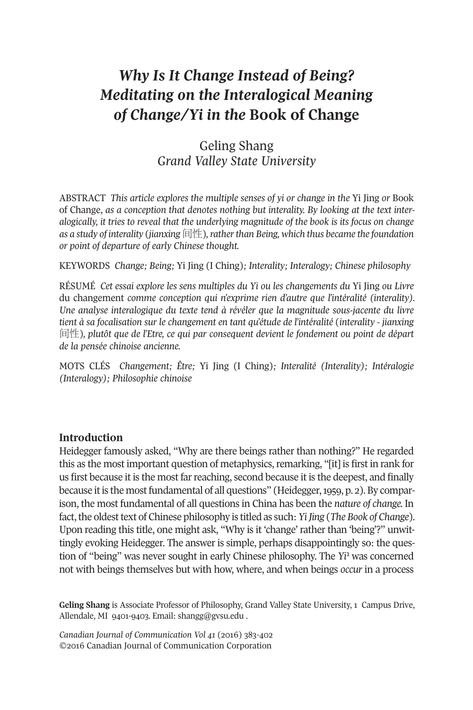# *Why Is It Change Instead of Being? Meditating on the Interalogical Meaning of Change/Yi in the* **Book of Change**

## Geling Shang *Grand Valley State University*

ABSTRACT *This article explores the multiple senses of yi or change in the* Yi Jing *or* Book of Change, *as a conception that denotes nothing but interality. By looking at the text interalogically, it tries to reveal that the underlying magnitude of the book is its focus on change as a study of interality* (*jianxing* 间性)*,ratherthan Being, which thus became the foundation or point of departure of early Chinese thought.*

KEYWORDS *Change; Being;* Yi Jing (I Ching)*; Interality; Interalogy; Chinese philosophy*

RéSumé *Cet essai explore les sens multiples du Yi ou les changements du* Yi Jing *ou Livre* du changement *comme conception qui n'exprime rien d'autre que l'intéralité (interality). Une analyse interalogique du texte tend à révéler que la magnitude sous-jacente du livre tient à sa focalisation sur le changement en tant qu'étude de l'intéralité* (*interality - jianxing* 间性)*, plutôt que de l'Etre, ce qui par consequent devient le fondement ou point de départ de la pensée chinoise ancienne.*

mOTS CLéS *Changement; Être;* Yi Jing (I Ching)*; Interalité (Interality); Intéralogie (Interalogy); Philosophie chinoise*

#### **Introduction**

Heidegger famously asked, "Why are there beings rather than nothing?" He regarded this as the most important question of metaphysics, remarking, "[it] is first in rank for us first because it is the most farreaching, second because it is the deepest, and finally because it is the most fundamental of all questions" (Heidegger, 1959, p. 2). By comparison, the most fundamental of all questions in China has been the *nature of change.* In fact,the oldesttext of Chinese philosophy is titled as such:*YiJing* (*The Book of Change*). upon reading this title, one might ask, "Why is it 'change' rather than 'being'?" unwittingly evoking Heidegger. The answer is simple, perhaps disappointi[ng](#page-18-0)ly so: the question of "being" was never sought in early Chinese philosophy. The *Yi*<sup>1</sup> was concerned not with beings themselves but with how, where, and when beings *occur* in a process

Geling Shang is Associate Professor of Philosophy, Grand Valley State University, 1 Campus Drive, Allendale, MI 9401-9403. Email: [shangg@gvsu.edu](mailto:shangg@gvsu.edu).

*Canadian Journal of [Communication](http://www.cjc-online.ca) Vol 41* (2016) 383-402 ©2016 Canadian Journal of Communication Corporation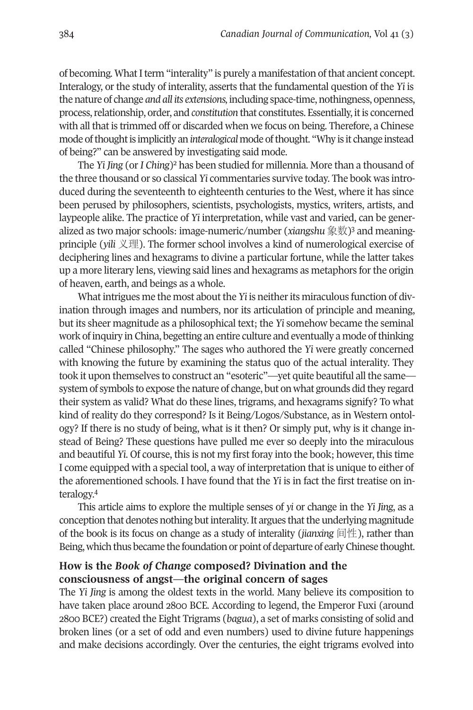of becoming. What I term "interality" is purely a manifestation of that ancient concept. Interalogy, or the study of interality, asserts that the fundamental question of the *Yi* is the nature of change *and all its extensions,* including space-time, nothingness, openness, process,relationship, order, and *constitution* that constitutes. Essentially, itis concerned with all that is trimmed off or discarded when we focus on being. Therefore, a Chinese mode of thought is implicitly an *interalogical* mode of thought. "Why is it change instead of being?" can be answered by investigating said mode.

The *Yi Jing* (or *I Ching*[\)2](#page-18-3) has been studied for millennia. more than a thousand of the three thousand or so classical *Yi* commentaries survive today. The book was introduced during the seventeenth to eighteenth centuries to the West, where it has since been perused by philosophers, scientists, psychologists, mystics, writers, artists, and laypeople alike. The practice of *Yi* interpretation, while vast and varie[d,](#page-18-2) can be generalized as two major schools: image-numeric/number (*xiangshu* 象数)3 and meaningprinciple (*yili* 义理). The former school involves a kind of numerological exercise of deciphering lines and hexagrams to divine a particular fortune, while the latter takes up a more literary lens, viewing said lines and hexagrams as metaphors for the origin of heaven, earth, and beings as a whole.

What intrigues me the most about the *Yi* is neither its miraculous function of divination through images and numbers, nor its articulation of principle and meaning, but its sheer magnitude as a philosophical text; the *Yi* somehow became the seminal work ofinquiry in China, begetting an entire culture and eventually a mode ofthinking called "Chinese philosophy." The sages who authored the *Yi* were greatly concerned with knowing the future by examining the status quo of the actual interality. They took it upon themselves to construct an "esoteric"—yet quite beautiful allthe same system of symbols to expose the nature of change, but on what grounds did they regard their system as valid? What do these lines, trigrams, and hexagrams signify? To what kind of reality do they correspond? Is it Being/Logos/Substance, as in Western ontology? If there is no study of being, what is it then? Or simply put, why is it change instead of Being? These questions have pulled me ever so deeply into the miraculous and beautiful *Yi*. Of course, this is not my first foray into the book; however, this time I come equipped with a special tool, a way of interpretation that is unique to either of the afor[em](#page-18-1)entioned schools. I have found that the *Yi* is in fact the first treatise on interalogy. 4

This article aims to explore the multiple senses of *yi* or change in the *Yi Jing*, as a conception that denotes nothing but interality. It argues that the underlying magnitude of the book is its focus on change as a study of interality (*jianxing* 间性), rather than Being, which thus became the foundation or point of departure of early Chinese thought.

## **How is the** *Book of Change* **composed? Divination and the consciousness of angst—the original concern of sages**

The *Yi Jing* is among the oldest texts in the world. many believe its composition to have taken place around 2800 BCE. According to legend, the Emperor Fuxi (around 2800 BCE?) created the Eight Trigrams (*bagua*), a set of marks consisting of solid and broken lines (or a set of odd and even numbers) used to divine future happenings and make decisions accordingly. Over the centuries, the eight trigrams evolved into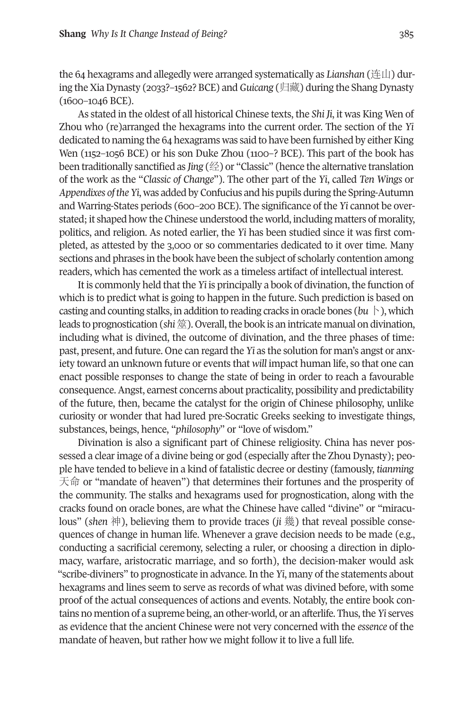the 64 hexagrams and allegedly were arranged systematically as *Lianshan* (连山) during theXiaDynasty (2033?–1562? BCE) and*Guicang* (归藏) during the ShangDynasty (1600–1046 BCE).

As stated in the oldest of all historical Chinese texts, the *Shi Ji*, it was King Wen of Zhou who (re)arranged the hexagrams into the current order. The section of the *Yi* dedicated to naming the 64 hexagrams was said to have been furnished by either King Wen (1152–1056 BCE) or his son Duke Zhou (1100–? BCE). This part of the book has been traditionally sanctified as *Jing* (经) or "Classic" (hence the alternative translation of the work as the "*Classic of Change*"). The other part of the *Yi*, called *Ten Wings* or *Appendixes ofthe Yi*, was added by Confucius and his pupils during the Spring-Autumn and Warring-States periods (600–200 BCE). The significance of the *Yi* cannot be overstated; it shaped how the Chinese understood the world, including matters of morality, politics, and religion. As noted earlier, the *Yi* has been studied since it was first completed, as attested by the 3,000 or so commentaries dedicated to it over time. many sections and phrases in the book have been the subject of scholarly contention among readers, which has cemented the work as a timeless artifact of intellectual interest.

It is commonly held that the *Yi* is principally a book of divination, the function of which is to predict what is going to happen in the future. Such prediction is based on casting and counting stalks, in addition to reading cracks in oracle bones ( $bu \, \mid$ ), which leads to prognostication (*shi*筮). Overall,the book is an intricate manual on divination, including what is divined, the outcome of divination, and the three phases of time: past, present, and future. One can regard the *Yi* as the solution for man's angst or anxiety toward an unknown future or events that *will* impact human life, so that one can enact possible responses to change the state of being in order to reach a favourable consequence.Angst, earnest concerns about practicality, possibility and predictability of the future, then, became the catalyst for the origin of Chinese philosophy, unlike curiosity or wonder that had lured pre-Socratic Greeks seeking to investigate things, substances, beings, hence, "*philosophy*" or "love of wisdom."

Divination is also a significant part of Chinese religiosity. China has never possessed a clear image of a divine being or god (especially after the Zhou Dynasty); people have tended to believe in a kind of fatalistic decree or destiny (famously, *tianming* 天命 or "mandate of heaven") that determines their fortunes and the prosperity of the community. The stalks and hexagrams used for prognostication, along with the cracks found on oracle bones, are what the Chinese have called "divine" or "miraculous" (*shen* 神), believing them to provide traces (*ji* 幾) that reveal possible consequences of change in human life. Whenever a grave decision needs to be made (e.g., conducting a sacrificial ceremony, selecting a ruler, or choosing a direction in diplomacy, warfare, aristocratic marriage, and so forth), the decision-maker would ask "scribe-diviners" to prognosticate in advance. In the *Yi*, many of the statements about hexagrams and lines seem to serve as records of what was divined before, with some proof of the actual consequences of actions and events. Notably, the entire book contains no mention of a supreme being, an other-world, or an afterlife. Thus, the *Yi* serves as evidence that the ancient Chinese were not very concerned with the *essence* of the mandate of heaven, but rather how we might follow it to live a full life.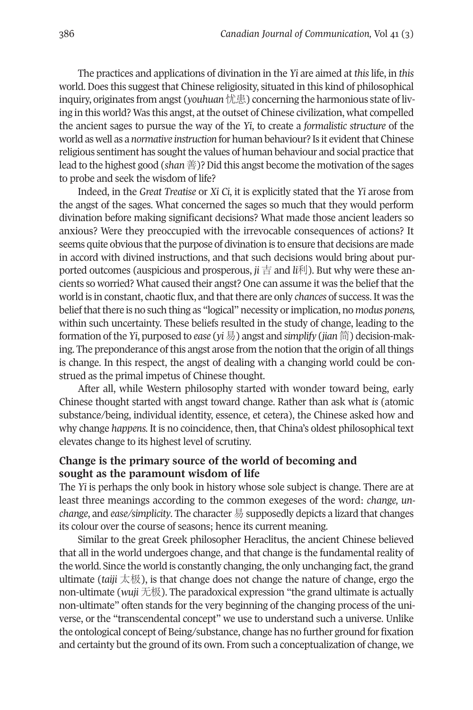The practices and applications of divination in the *Yi* are aimed at *this*life, in *this* world. Does this suggest that Chinese religiosity, situated in this kind of philosophical inquiry, originates from angst (*youhuan*忧患) concerning the harmonious state of living in this world? Was this angst, at the outset of Chinese civilization, what compelled the ancient sages to pursue the way of the *Yi*, to create a *formalistic structure* of the world as well as a *normative instruction* for human behaviour? Is it evidentthat Chinese religious sentiment has sought the values of human behaviour and social practice that lead to the highest good (*shan* 善)?Did this angst become the motivation ofthe sages to probe and seek the wisdom of life?

Indeed, in the *Great Treatise* or *Xi Ci*, it is explicitly stated that the *Yi* arose from the angst of the sages. What concerned the sages so much that they would perform divination before making significant decisions? What made those ancient leaders so anxious? Were they preoccupied with the irrevocable consequences of actions? It seems quite obvious that the purpose of divination is to ensure that decisions are made in accord with divined instructions, and that such decisions would bring about purported outcomes (auspicious and prosperous, *ji* 吉 and *li*利). But why were these ancients so worried? What caused their angst? One can assume it was the belief that the world is in constant, chaotic flux, and that there are only *chances* of success. It was the beliefthatthere is no such thing as "logical" necessity orimplication, no *modus ponens,* within such uncertainty. These beliefs resulted in the study of change, leading to the formation ofthe *Yi*, purposed to *ease* (*yi*易) angst and *simplify* (*jian*简) decision-making. The preponderance of this angst arose from the notion that the origin of all things is change. In this respect, the angst of dealing with a changing world could be construed as the primal impetus of Chinese thought.

After all, while Western philosophy started with wonder toward being, early Chinese thought started with angst toward change. Rather than ask what *is* (atomic substance/being, individual identity, essence, et cetera), the Chinese asked how and why change *happens.* It is no coincidence, then, that China's oldest philosophical text elevates change to its highest level of scrutiny.

### **Change is the primary source of the world of becoming and sought as the paramount wisdom of life**

The *Yi* is perhaps the only book in history whose sole subject is change. There are at least three meanings according to the common exegeses of the word: *change, unchange*, and *ease/simplicity*. The character 易 supposedly depicts a lizard that changes its colour over the course of seasons; hence its current meaning.

Similar to the great Greek philosopher Heraclitus, the ancient Chinese believed that all in the world undergoes change, and that change is the fundamental reality of the world. Since the world is constantly changing, the only unchanging fact, the grand ultimate (*taiji*  $\pm \mathcal{R}$ ), is that change does not change the nature of change, ergo the non-ultimate (*wuji* 无极). The paradoxical expression "the grand ultimate is actually non-ultimate" often stands for the very beginning of the changing process of the universe, or the "transcendental concept" we use to understand such a universe. unlike the ontological concept of Being/substance, change has no further ground for fixation and certainty but the ground of its own. From such a conceptualization of change, we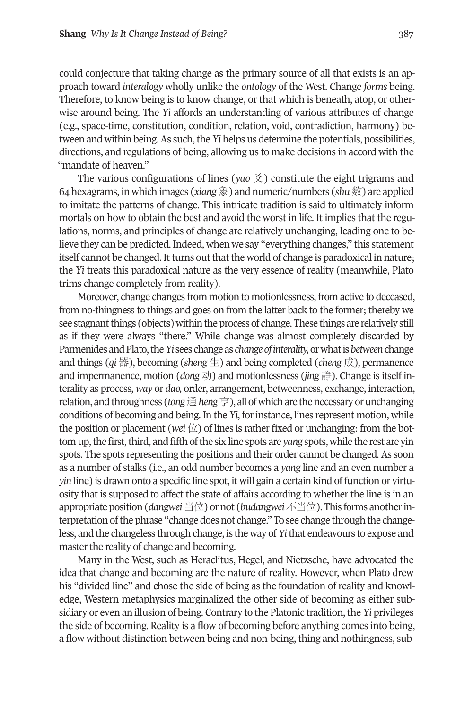could conjecture that taking change as the primary source of all that exists is an approach toward *interalogy* wholly unlike the *ontology* of the West. Change *forms* being. Therefore, to know being is to know change, or that which is beneath, atop, or otherwise around being. The *Yi* affords an understanding of various attributes of change (e.g., space-time, constitution, condition, relation, void, contradiction, harmony) between and within being. As such, the *Yi* helps us determine the potentials, possibilities, directions, and regulations of being, allowing us to make decisions in accord with the "mandate of heaven."

The various configurations of lines (*yao* 爻) constitute the eight trigrams and 64 hexagrams, in which images (*xiang*象) and numeric/numbers (*shu*数) are applied to imitate the patterns of change. This intricate tradition is said to ultimately inform mortals on how to obtain the best and avoid the worst in life. It implies that the regulations, norms, and principles of change are relatively unchanging, leading one to believe they can be predicted.Indeed, when we say "everything changes," this statement itself cannot be changed. It turns out that the world of change is paradoxical in nature; the *Yi* treats this paradoxical nature as the very essence of reality (meanwhile, Plato trims change completely from reality).

moreover, change changes from motion to motionlessness, from active to deceased, from no-thingness to things and goes on from the latter back to the former; thereby we see stagnant things (objects) within the process of change. These things are relatively still as if they were always "there." While change was almost completely discarded by Parmenides and Plato, the *Yi* sees change as *change* of *interality*, or what is *between* change and things (*qi* 器), becoming (*sheng* 生) and being completed (*cheng* 成), permanence and impermanence, motion (*dong* 动) and motionlessness (*jing* 静). Change is itself interality as process, *way* or *dao,* order, arrangement, betweenness, exchange, interaction, relation, and throughness (*tong* 通 *heng* 亨), all of which are the necessary or unchanging conditions of becoming and being. In the *Yi*, forinstance, lines represent motion, while the position or placement (*wei*  $\overleftrightarrow{\omega}$ ) of lines is rather fixed or unchanging: from the bottom up, the first, third, and fifth of the six line spots are *yang* spots, while the rest are yin spots. The spots representing the positions and their order cannot be changed. As soon as a number of stalks (i.e., an odd number becomes a *yang* line and an even number a *yin* line) is drawn onto a specific line spot, it will gain a certain kind of function or virtuosity that is supposed to affect the state of affairs according to whether the line is in an appropriate position (*dangwei*当位) or not (*budangwei*不当位). This forms anotherinterpretation of the phrase "change does not change." To see change through the changeless, and the changeless through change, is the way of*Yi*that endeavours to expose and master the reality of change and becoming.

many in the West, such as Heraclitus, Hegel, and Nietzsche, have advocated the idea that change and becoming are the nature of reality. However, when Plato drew his "divided line" and chose the side of being as the foundation of reality and knowledge, Western metaphysics marginalized the other side of becoming as either subsidiary or even an illusion of being. Contrary to the Platonic tradition, the *Yi* privileges the side of becoming. Reality is a flow of becoming before anything comes into being, a flow without distinction between being and non-being, thing and nothingness, sub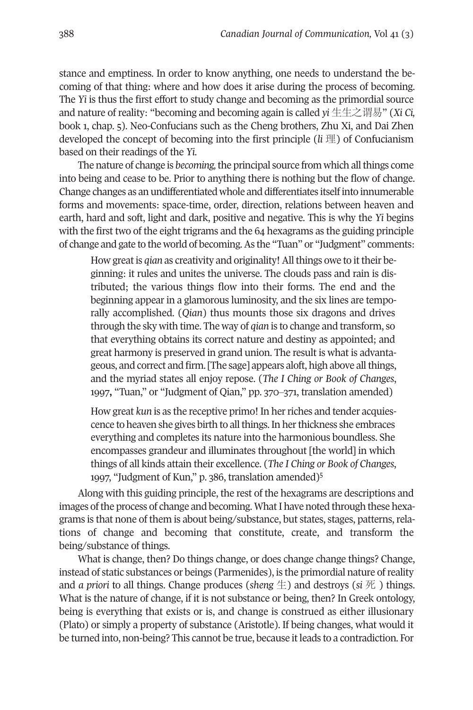stance and emptiness. In order to know anything, one needs to understand the becoming of that thing: where and how does it arise during the process of becoming. The *Yi* is thus the first effort to study change and becoming as the primordial source and nature of reality: "becoming and becoming again is called *yi* 生生之谓易" (*Xi Ci,* book 1, chap. 5). Neo-Confucians such as the Cheng brothers, Zhu Xi, and Dai Zhen developed the concept of becoming into the first principle (*li* 理) of Confucianism based on their readings of the *Yi*.

The nature of change is *becoming,*the principal source from which allthings come into being and cease to be. Prior to anything there is nothing but the flow of change. Change changes as an undifferentiated whole and differentiates itself into innumerable forms and movements: space-time, order, direction, relations between heaven and earth, hard and soft, light and dark, positive and negative. This is why the *Yi* begins with the first two of the eight trigrams and the 64 hexagrams as the guiding principle of change and gate to the world of becoming.As the "Tuan" or "Judgment" comments:

How great is *qian* as creativity and originality! All things owe to it their beginning: it rules and unites the universe. The clouds pass and rain is distributed; the various things flow into their forms. The end and the beginning appear in a glamorous luminosity, and the six lines are temporally accomplished. (*Qian*) thus mounts those six dragons and drives through the sky with time. The way of *qian* is to change and transform, so that everything obtains its correct nature and destiny as appointed; and great harmony is preserved in grand union. The result is what is advantageous, and correct and firm. [The sage] appears aloft, high above allthings, and the myriad states all enjoy repose. (*The I Ching or Book of Changes*, 1997**,** "Tuan," or "Judgment of Qian," pp. 370‒371, translation amended)

How great *kun* is as the receptive primo! In her riches and tender acquiescence to heaven she gives birth to all things. In her thickness she embraces everything and completes its nature into the harmonious boundless. She encompasses grandeur and illuminates throughout [the world] in which things of all kinds attain their excellence. (*The I Ching or Book of Changes*, 1997, "Judgment of Kun," p. 386, translation amended[\)5](#page-18-4)

Along with this guiding principle, the rest of the hexagrams are descriptions and images of the process of change and becoming. What I have noted through these hexagrams is that none of them is about being/substance, but states, stages, patterns,relations of change and becoming that constitute, create, and transform the being/substance of things.

What is change, then? Do things change, or does change change things? Change, instead of static substances or beings (Parmenides), is the primordial nature ofreality and *a priori* to all things. Change produces (*sheng*  $\pm$ ) and destroys (*si*  $\overline{\mathcal{R}}$ ) things. What is the nature of change, if it is not substance or being, then? In Greek ontology, being is everything that exists or is, and change is construed as either illusionary (Plato) or simply a property of substance (Aristotle). If being changes, what would it be turned into, non-being? This cannot be true, because itleads to a contradiction. For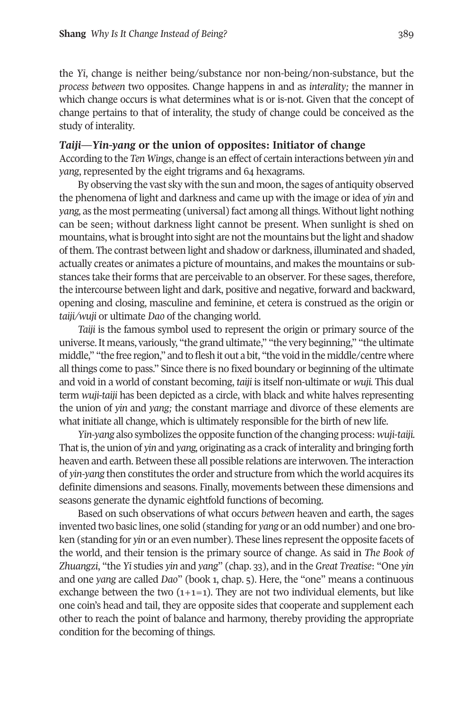the *Yi*, change is neither being/substance nor non-being/non-substance, but the *process between* two opposites. Change happens in and as *interality;* the manner in which change occurs is what determines what is or is-not. Given that the concept of change pertains to that of interality, the study of change could be conceived as the study of interality.

#### *Taiji***—***Yin-yang* **or the union of opposites: Initiator of change**

According to the *Ten Wings*, change is an effect of certain interactions between *yin* and *yang*, represented by the eight trigrams and 64 hexagrams.

By observing the vast sky with the sun and moon, the sages of antiquity observed the phenomena of light and darkness and came up with the image or idea of *yin* and *yang*, as the most permeating (universal) fact among all things. Without light nothing can be seen; without darkness light cannot be present. When sunlight is shed on mountains, what is brought into sight are not the mountains but the light and shadow ofthem. The contrast between light and shadow or darkness, illuminated and shaded, actually creates or animates a picture of mountains, and makes the mountains or substances take their forms that are perceivable to an observer. For these sages, therefore, the intercourse between light and dark, positive and negative, forward and backward, opening and closing, masculine and feminine, et cetera is construed as the origin or *taiji/wuji* or ultimate *Dao* of the changing world.

*Taiji* is the famous symbol used to represent the origin or primary source of the universe.It means, variously, "the grand ultimate," "the very beginning," "the ultimate middle," "the free region," and to flesh it out a bit, "the void in the middle/centre where all things come to pass." Since there is no fixed boundary or beginning of the ultimate and void in a world of constant becoming, *taiji* is itself non-ultimate or *wuji.* This dual term *wuji*-*taiji* has been depicted as a circle, with black and white halves representing the union of *yin* and *yang;* the constant marriage and divorce of these elements are what initiate all change, which is ultimately responsible for the birth of new life.

*Yin-yang* also symbolizes the opposite function ofthe changing process: *wuji*-*taiji.* That is, the union of *yin* and *yang*, originating as a crack of interality and bringing forth heaven and earth. Between these all possible relations are interwoven. The interaction of *yin-yang* then constitutes the order and structure from which the world acquires its definite dimensions and seasons. Finally, movements between these dimensions and seasons generate the dynamic eightfold functions of becoming.

Based on such observations of what occurs *between* heaven and earth, the sages invented two basic lines, one solid (standing for *yang* or an odd number) and one broken (standing for *yin* or an even number). These lines represent the opposite facets of the world, and their tension is the primary source of change. As said in *The Book of Zhuangzi*, "the *Yi* studies *yin* and *yang*" (chap. 33), and in the *Great Treatise*: "One *yin* and one *yang* are called *Dao*" (book 1, chap. 5). Here, the "one" means a continuous exchange between the two  $(1+1=1)$ . They are not two individual elements, but like one coin's head and tail, they are opposite sides that cooperate and supplement each other to reach the point of balance and harmony, thereby providing the appropriate condition for the becoming of things.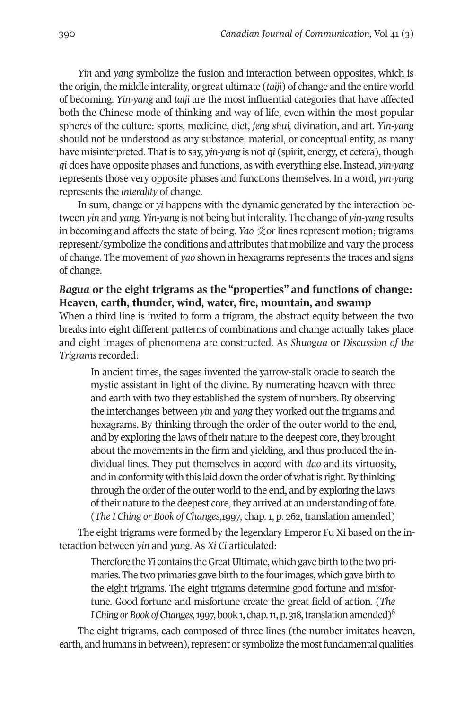*Yin* and *yang* symbolize the fusion and interaction between opposites, which is the origin, the middle interality, or great ultimate (*taiji*) of change and the entire world of becoming. *Yin-yang* and *taiji* are the most influential categories that have affected both the Chinese mode of thinking and way of life, even within the most popular spheres of the culture: sports, medicine, diet, *feng shui,* divination, and art. *Yin-yang* should not be understood as any substance, material, or conceptual entity, as many have misinterpreted. That is to say, *yin-yang* is not *qi* (spirit, energy, et cetera), though *qi* does have opposite phases and functions, as with everything else. Instead, *yin-yang* represents those very opposite phases and functions themselves. In a word, *yin-yang* represents the *interality* of change.

In sum, change or *yi* happens with the dynamic generated by the interaction between *yin* and *yang. Yin-yang* is not being butinterality. The change of *yin-yang* results in becoming and affects the state of being. *Yao*  $\tilde{\chi}$ or lines represent motion; trigrams represent/symbolize the conditions and attributes that mobilize and vary the process of change. The movement of *yao* shown in hexagrams represents the traces and signs of change.

### *Bagua* **or the eight trigrams as the "properties" and functions of change: Heaven, earth, thunder, wind, water, fire, mountain, and swamp**

When a third line is invited to form a trigram, the abstract equity between the two breaks into eight different patterns of combinations and change actually takes place and eight images of phenomena are constructed. As *Shuo*g*ua* or *Discussion of the Trigrams* recorded:

In ancient times, the sages invented the yarrow-stalk oracle to search the mystic assistant in light of the divine. By numerating heaven with three and earth with two they established the system of numbers. By observing the interchanges between *yin* and *yang* they worked out the trigrams and hexagrams. By thinking through the order of the outer world to the end, and by exploring the laws of their nature to the deepest core, they brought about the movements in the firm and yielding, and thus produced the individual lines. They put themselves in accord with *dao* and its virtuosity, and in conformity with this laid down the order of what is right. By thinking through the order of the outer world to the end, and by exploring the laws of their nature to the deepest core, they arrived at an understanding of fate. (*The I Ching or Book of Changes*,1997, chap.1, p. 262, translation amended)

The eight trigrams were formed by the legendary Emperor Fu Xi based on the interaction between *yin* and *yang*. As *Xi Ci* articulated:

Therefore the *Yi* contains the Great Ultimate, which gave birth to the two primaries. The two primaries gave birth to the fourimages, which gave birth to the eight trigrams. The eight trigrams determine good fortune and misfortune. Good fortune and misfortune create the great field of action. (*The I* Ching or Book of Changes, 1997, book 1, chap. 11, p. 318, translation amended)<sup>6</sup>

The eight trigrams, each composed of three lines (the number imitates heaven, earth, and humans in between), represent or symbolize the most fundamental qualities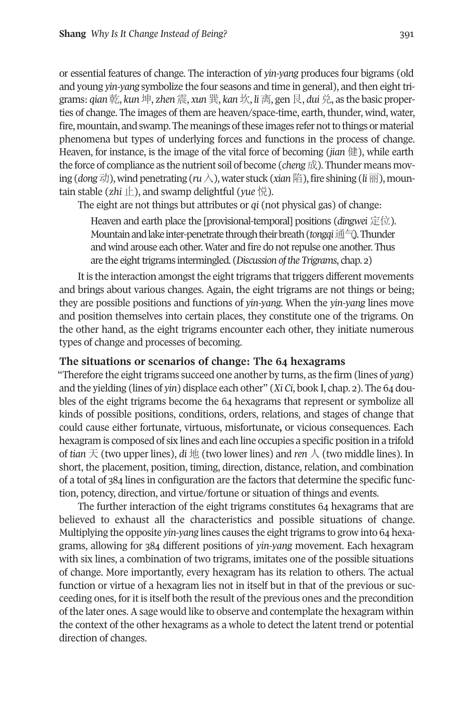or essential features of change. The interaction of *yin-yang* produces four bigrams (old and young *yin-yang* symbolize the four seasons and time in general), and then eight trigrams: *qian*乾, *kun*坤, *zhen*震, *xun*巽, *kan*坎, *li*离, gen艮, *dui*兑, as the basic properties of change. The images of them are heaven/space-time, earth, thunder, wind, water, fire, mountain, and swamp. The meanings of these images refer not to things or material phenomena but types of underlying forces and functions in the process of change. Heaven, for instance, is the image of the vital force of becoming (*jian* 健), while earth the force of compliance as the nutrient soil of become (*cheng*成). Thunder means moving (*dong*动),wind penetrating (*ru*入),water stuck (*xian*陷),fire shining (*li*丽), mountain stable (*zhi* 止), and swamp delightful (*yue* 悦).

The eight are not things but attributes or *qi* (not physical gas) of change:

Heaven and earth place the [provisional-temporal] positions (*dingwei* 定位). mountain and lake inter-penetrate through their breath (*tongqi*通气). Thunder and wind arouse each other. Water and fire do not repulse one another. Thus are the eight trigrams intermingled. (*Discussion of the Trigrams*, chap. 2)

It is the interaction amongst the eight trigrams that triggers different movements and brings about various changes. Again, the eight trigrams are not things or being; they are possible positions and functions of *yin-yang.* When the *yin-yang* lines move and position themselves into certain places, they constitute one of the trigrams. On the other hand, as the eight trigrams encounter each other, they initiate numerous types of change and processes of becoming.

#### **The situations or scenarios of change: The 64 hexagrams**

"Therefore the eight trigrams succeed one another by turns, as the firm (lines of *yang*) and the yielding (lines of *yin*) displace each other" (*Xi Ci*, book I, chap. 2). The 64 doubles of the eight trigrams become the 64 hexagrams that represent or symbolize all kinds of possible positions, conditions, orders, relations, and stages of change that could cause either fortunate, virtuous, misfortunate**,** or vicious consequences. Each hexagram is composed of six lines and each line occupies a specific position in a trifold of *tian* 天 (two upper lines), *di* 地 (two lower lines) and *ren* 人 (two middle lines). In short, the placement, position, timing, direction, distance, relation, and combination of a total of 384 lines in configuration are the factors that determine the specific function, potency, direction, and virtue/fortune or situation of things and events.

The further interaction of the eight trigrams constitutes 64 hexagrams that are believed to exhaust all the characteristics and possible situations of change. Multiplying the opposite *yin-yang* lines causes the eight trigrams to grow into 64 hexagrams, allowing for 384 different positions of *yin-yang* movement. Each hexagram with six lines, a combination of two trigrams, imitates one of the possible situations of change. more importantly, every hexagram has its relation to others. The actual function or virtue of a hexagram lies not in itself but in that of the previous or succeeding ones, for it is itself both the result of the previous ones and the precondition of the later ones. A sage would like to observe and contemplate the hexagram within the context of the other hexagrams as a whole to detect the latent trend or potential direction of changes.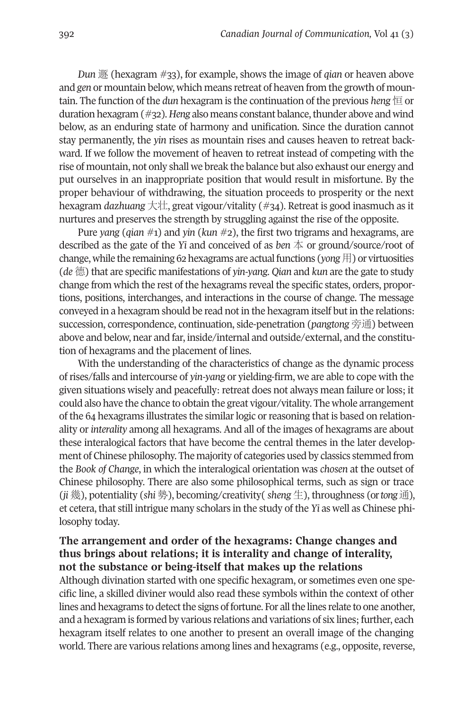*Dun* 遯 (hexagram #33), for example, shows the image of *qian* or heaven above and *gen* or mountain below, which means retreat of heaven from the growth of mountain. The function of the *dun* hexagram is the continuation of the previous *heng* 恒 or duration hexagram (#32). *Heng* also means constant balance, thunder above and wind below, as an enduring state of harmony and unification. Since the duration cannot stay permanently, the *yin* rises as mountain rises and causes heaven to retreat backward. If we follow the movement of heaven to retreat instead of competing with the rise of mountain, not only shall we break the balance but also exhaust our energy and put ourselves in an inappropriate position that would result in misfortune. By the proper behaviour of withdrawing, the situation proceeds to prosperity or the next hexagram *dazhuang* 大壮, great vigour/vitality (#34). Retreat is good inasmuch as it nurtures and preserves the strength by struggling against the rise of the opposite.

Pure *yang* (*qian* #1) and *yin* (*kun* #2), the first two trigrams and hexagrams, are described as the gate of the *Yi* and conceived of as *ben* 本 or ground/source/root of change, while the remaining 62 hexagrams are actualfunctions (*yong*用) or virtuosities (*de* 德) that are specific manifestations of *yin-yang*. *Qian* and *kun* are the gate to study change from which the rest of the hexagrams reveal the specific states, orders, proportions, positions, interchanges, and interactions in the course of change. The message conveyed in a hexagram should be read not in the hexagram itself but in the relations: succession, correspondence, continuation, side-penetration (*pangtong* 旁通) between above and below, near and far, inside/internal and outside/external, and the constitution of hexagrams and the placement of lines.

With the understanding of the characteristics of change as the dynamic process of rises/falls and intercourse of *yin-yang* or yielding-firm, we are able to cope with the given situations wisely and peacefully: retreat does not always mean failure or loss; it could also have the chance to obtain the great vigour/vitality. The whole arrangement of the 64 hexagrams illustrates the similarlogic orreasoning that is based on relationality or *interality* among all hexagrams. And all of the images of hexagrams are about these interalogical factors that have become the central themes in the later development of Chinese philosophy. The majority of categories used by classics stemmed from the *Book of Change*, in which the interalogical orientation was *chosen* at the outset of Chinese philosophy. There are also some philosophical terms, such as sign or trace (*ji* 幾), potentiality (*shi* 勢), becoming/creativity( *sheng* 生), throughness (or*tong*通), et cetera, that still intrigue many scholars in the study of the *Yi* as well as Chinese philosophy today.

## **The arrangement and order of the hexagrams: Change changes and thus brings about relations; it is interality and change of interality, not the substance or being-itself that makes up the relations**

Although divination started with one specific hexagram, or sometimes even one specific line, a skilled diviner would also read these symbols within the context of other lines and hexagrams to detect the signs of fortune. For all the lines relate to one another, and a hexagram is formed by various relations and variations of six lines; further, each hexagram itself relates to one another to present an overall image of the changing world. There are various relations among lines and hexagrams (e.g., opposite, reverse,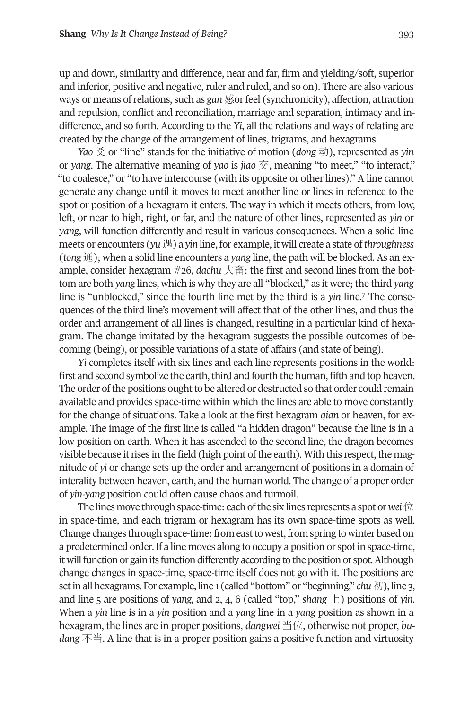up and down, similarity and difference, near and far, firm and yielding/soft, superior and inferior, positive and negative, ruler and ruled, and so on). There are also various ways or means of relations, such as *gan* 感or feel (synchronicity), affection, attraction and repulsion, conflict and reconciliation, marriage and separation, intimacy and indifference, and so forth. According to the *Yi*, all the relations and ways of relating are created by the change of the arrangement of lines, trigrams, and hexagrams.

*Yao* 爻 or "line" stands for the initiative of motion (*dong* 动), represented as *yin* or *yang*. The alternative meaning of *yao* is *jiao* 交, meaning "to meet," "to interact," "to coalesce," or "to have intercourse (with its opposite or other lines)." A line cannot generate any change until it moves to meet another line or lines in reference to the spot or position of a hexagram it enters. The way in which it meets others, from low, left, or near to high, right, or far, and the nature of other lines, represented as *yin* or *yang*, will function differently and result in various consequences. When a solid line meets or encounters (*yu*遇) a *yin* line, for example, it will create a state of *throughness* (*tong* 通); when a solid line encounters a *yang* line, the path will be blocked. As an example, consider hexagram #26, *dachu* 大畜: the first and second lines from the bottom are both *yang* lines, which is why they are all "blocked," as it were; t[he](#page-19-1) third *yang* line is "unblocked," since the fourth line met by the third is a *yin* line. <sup>7</sup> The consequences of the third line's movement will affect that of the other lines, and thus the order and arrangement of all lines is changed, resulting in a particular kind of hexagram. The change imitated by the hexagram suggests the possible outcomes of becoming (being), or possible variations of a state of affairs (and state of being).

*Yi* completes itself with six lines and each line represents positions in the world: first and second symbolize the earth, third and fourth the human, fifth and top heaven. The order of the positions ought to be altered or destructed so that order could remain available and provides space-time within which the lines are able to move constantly for the change of situations. Take a look at the first hexagram *qian* or heaven, for example. The image of the first line is called "a hidden dragon" because the line is in a low position on earth. When it has ascended to the second line, the dragon becomes visible because it rises in the field (high point of the earth). With this respect, the magnitude of *yi* or change sets up the order and arrangement of positions in a domain of interality between heaven, earth, and the human world. The change of a proper order of *yin-yang* position could often cause chaos and turmoil.

The lines move through space-time: each of the six lines represents a spot or *wei*  $\hat{\boxtimes}$ in space-time, and each trigram or hexagram has its own space-time spots as well. Change changes through space-time: from east to west, from spring to winter based on a predetermined order.If a line moves along to occupy a position or spotin space-time, it will function or gain its function differently according to the position or spot. Although change changes in space-time, space-time itself does not go with it. The positions are set in all hexagrams. For example, line 1 (called "bottom" or "beginning," *chu* 初), line 3, and line 5 are positions of *yang,* and 2, 4, 6 (called "top," *shang* 上) positions of *yin.* When a *yin* line is in a *yin* position and a *yang* line in a *yang* position as shown in a hexagram, the lines are in proper positions, *dangwei* 当位, otherwise not proper, *budang* 不当. A line that is in a proper position gains a positive function and virtuosity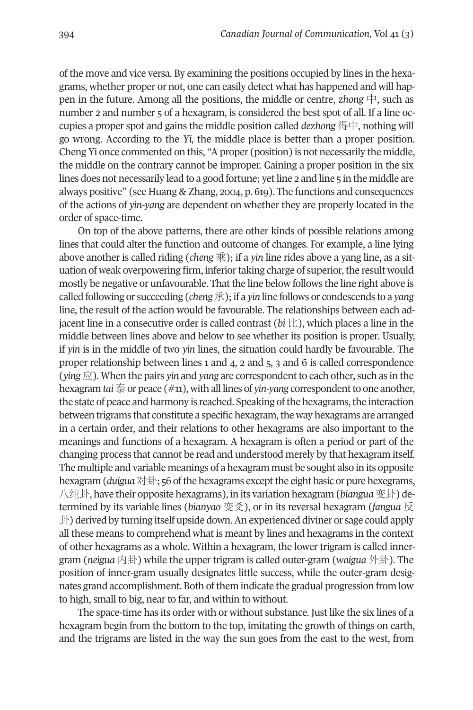of the move and vice versa. By examining the positions occupied by lines in the hexagrams, whether proper or not, one can easily detect what has happened and will happen in the future. Among all the positions, the middle or centre, *zhong*  $\uparrow$ , such as number 2 and number 5 of a hexagram, is considered the best spot of all. If a line occupies a proper spot and gains the middle position called *dezhong* 得中, nothing will go wrong. According to the *Yi,* the middle place is better than a proper position. Cheng Yi once commented on this, "Aproper (position) is not necessarily the middle, the middle on the contrary cannot be improper. Gaining a proper position in the six lines does not necessarily lead to a good fortune; yetline 2 and line 5 in the middle are always positive" (see Huang & Zhang, 2004, p. 619). The functions and consequences of the actions of *yin-yang* are dependent on whether they are properly located in the order of space-time.

On top of the above patterns, there are other kinds of possible relations among lines that could alter the function and outcome of changes. For example, a line lying above another is called riding (*cheng* 乘); if a *yin* line rides above a yang line, as a situation of weak overpowering firm, inferior taking charge of superior, the result would mostly be negative or unfavourable. That the line below follows the line right above is called following or succeeding (*cheng*承); if a *yin* line follows or condescends to a *yang* line, the result of the action would be favourable. The relationships between each adjacent line in a consecutive order is called contrast (*bi* 比), which places a line in the middle between lines above and below to see whether its position is proper. Usually, if *yin* is in the middle of two *yin* lines, the situation could hardly be favourable. The proper relationship between lines 1 and 4, 2 and 5, 3 and 6 is called correspondence (*ying* 应). When the pairs *yin* and *yang* are correspondentto each other, such as in the hexagram *tai* 泰 or peace (#11), with all lines of *yin-yang* correspondent to one another, the state of peace and harmony is reached. Speaking of the hexagrams, the interaction between trigrams that constitute a specific hexagram, the way hexagrams are arranged in a certain order, and their relations to other hexagrams are also important to the meanings and functions of a hexagram. A hexagram is often a period or part of the changing process that cannot be read and understood merely by that hexagram itself. The multiple and variable meanings of a hexagram must be sought also in its opposite hexagram (*duigua* 对卦; 56 of the hexagrams except the eight basic or pure hexegrams, 八纯卦, have their opposite hexagrams), in its variation hexagram (*biangua*变卦) determined by its variable lines (*bianyao* 变爻), or in its reversal hexagram (*fangua* 反 卦) derived by turning itself upside down.An experienced diviner or sage could apply all these means to comprehend what is meant by lines and hexagrams in the context of other hexagrams as a whole. Within a hexagram, the lower trigram is called innergram (*neigua* 内卦) while the upper trigram is called outer-gram (*waigua* 外卦). The position of inner-gram usually designates little success, while the outer-gram designates grand accomplishment. Both of them indicate the gradual progression from low to high, small to big, near to far, and within to without.

The space-time has its order with or without substance. Just like the six lines of a hexagram begin from the bottom to the top, imitating the growth of things on earth, and the trigrams are listed in the way the sun goes from the east to the west, from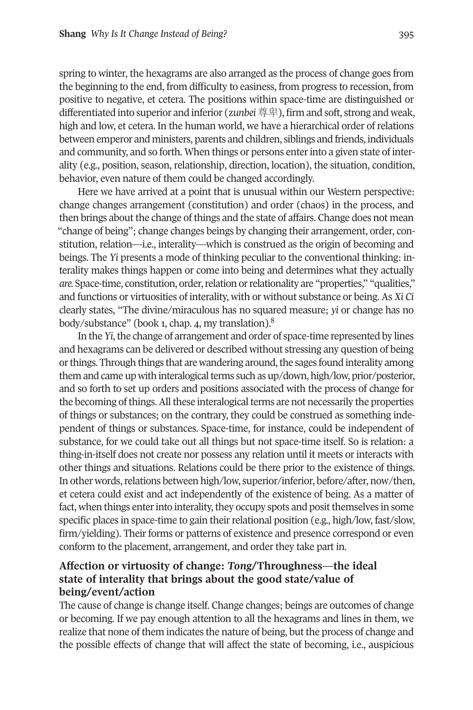spring to winter, the hexagrams are also arranged as the process of change goes from the beginning to the end, from difficulty to easiness, from progress to recession, from positive to negative, et cetera. The positions within space-time are distinguished or differentiated into superior and inferior (*zunbei*尊卑), firm and soft, strong and weak, high and low, et cetera. In the human world, we have a hierarchical order of relations between emperor and ministers, parents and children, siblings and friends, individuals and community, and so forth. When things or persons enterinto a given state of interality (e.g., position, season, relationship, direction, location), the situation, condition, behavior, even nature of them could be changed accordingly.

Here we have arrived at a point that is unusual within our Western perspective: change changes arrangement (constitution) and order (chaos) in the process, and then brings about the change of things and the state of affairs. Change does not mean "change of being"; change changes beings by changing their arrangement, order, constitution, relation—i.e., interality—which is construed as the origin of becoming and beings. The *Yi* presents a mode of thinking peculiar to the conventional thinking: interality makes things happen or come into being and determines what they actually *are.* Space-time, constitution, order, relation or relationality are "properties," "qualities," and functions or virtuosities of interality, with or without substance or being. As *Xi Ci* clearly states, "The divine/miraculous has no squ[ar](#page-19-2)ed measure; *yi* or change has no body/substance" (book 1, chap. 4, my translation). 8

In the *Yi*, the change of arrangement and order of space-time represented by lines and hexagrams can be delivered or described without stressing any question of being or things. Through things that are wandering around, the sages found interality among them and came up with interalogical terms such as up/down, high/low, prior/posterior, and so forth to set up orders and positions associated with the process of change for the becoming of things. All these interalogical terms are not necessarily the properties of things or substances; on the contrary, they could be construed as something independent of things or substances. Space-time, for instance, could be independent of substance, for we could take out all things but not space-time itself. So is relation: a thing-in-itself does not create nor possess any relation until it meets or interacts with other things and situations. Relations could be there prior to the existence of things. In other words, relations between high/low, superior/inferior, before/after, now/then, et cetera could exist and act independently of the existence of being. As a matter of fact, when things enter into interality, they occupy spots and posit themselves in some specific places in space-time to gain their relational position (e.g., high/low, fast/slow, firm/yielding). Their forms or patterns of existence and presence correspond or even conform to the placement, arrangement, and order they take part in.

## **Affection or virtuosity of change:** *Tong***/Throughness—the ideal state of interality that brings about the good state/value of being/event/action**

The cause of change is change itself. Change changes; beings are outcomes of change or becoming. If we pay enough attention to all the hexagrams and lines in them, we realize that none of them indicates the nature of being, but the process of change and the possible effects of change that will affect the state of becoming, i.e., auspicious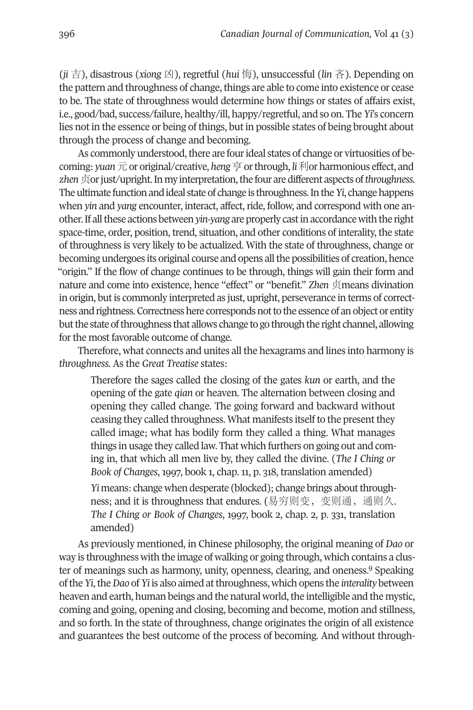(*ji* 吉), disastrous (*xiong* 凶), regretful (*hui* 悔), unsuccessful (*lin* 吝). Depending on the pattern and throughness of change, things are able to come into existence or cease to be. The state of throughness would determine how things or states of affairs exist, i.e., good/bad, success/failure, healthy/ill, happy/regretful, and so on. The *Yi*'s concern lies not in the essence or being of things, but in possible states of being brought about through the process of change and becoming.

As commonly understood, there are four ideal states of change or virtuosities of becoming: *yuan*元or original/creative, *heng*亨orthrough, *li*利orharmonious effect, and zhen 贞or just/upright. In my interpretation, the four are different aspects of throughness. The ultimate function and ideal state of change is throughness. In the *Yi*, change happens when *yin* and *yang* encounter, interact, affect, ride, follow, and correspond with one another.If allthese actions between*yin-yang* are properly castinaccordancewiththe right space-time, order, position, trend, situation, and other conditions of interality, the state of throughness is very likely to be actualized. With the state of throughness, change or becoming undergoes its original course and opens all the possibilities of creation, hence "origin." If the flow of change continues to be through, things will gain their form and nature and come into existence, hence "effect" or "benefit." *Zhen* 贞means divination in origin, but is commonly interpreted as just, upright, perseverance in terms of correctness andrightness.Correctnesshere correspondsnotto the essence of anobject or entity but the state of throughness that allows change to go through the right channel, allowing for the most favorable outcome of change.

Therefore, what connects and unites all the hexagrams and lines into harmony is *throughness.* As the *Great Treatise* states:

Therefore the sages called the closing of the gates *kun* or earth, and the opening of the gate *qian* or heaven. The alternation between closing and opening they called change. The going forward and backward without ceasing they called throughness. What manifests itself to the present they called image; what has bodily form they called a thing. What manages things in usage they called law. That which furthers on going out and coming in, that which all men live by, they called the divine. (*The I Ching or Book of Changes*, 1997, book 1, chap. 11, p. 318, translation amended) *Yi* means: change when desperate (blocked); change brings about throughness; and it is throughness that endures. (易穷则变,变则通,通则久. *The I Ching or Book of Changes*, 1997, book 2, chap. 2, p. 331, translation amended)

As previously mentioned, in Chinese philosophy, the original meaning of *Dao* or way is throughness with the image of walking or going through, which co[nta](#page-19-3)ins a cluster of meanings such as harmony, unity, openness, clearing, and oneness. <sup>9</sup> Speaking ofthe *Yi*,the*Dao* of *Yi* is also aimed atthroughness, which opens the *interality* between heaven and earth, human beings and the natural world, the intelligible and the mystic, coming and going, opening and closing, becoming and become, motion and stillness, and so forth. In the state of throughness, change originates the origin of all existence and guarantees the best outcome of the process of becoming. And without through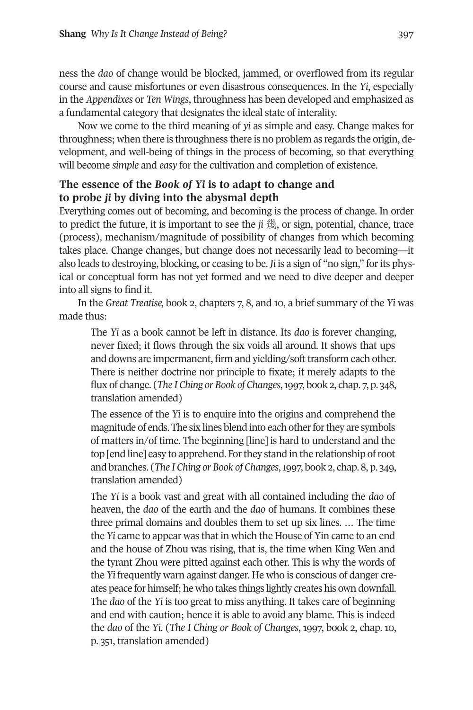ness the *dao* of change would be blocked, jammed, or overflowed from its regular course and cause misfortunes or even disastrous consequences. In the *Yi*, especially in the *Appendixes* or *Ten Wings*, throughness has been developed and emphasized as a fundamental category that designates the ideal state of interality.

Now we come to the third meaning of *yi* as simple and easy. Change makes for throughness; when there is throughness there is no problem as regards the origin, development, and well-being of things in the process of becoming, so that everything will become *simple* and *easy* for the cultivation and completion of existence.

## **The essence of the** *Book of Yi* **is to adapt to change and to probe** *ji* **by diving into the abysmal depth**

Everything comes out of becoming, and becoming is the process of change. In order to predict the future, it is important to see the *ji* 幾, or sign, potential, chance, trace (process), mechanism/magnitude of possibility of changes from which becoming takes place. Change changes, but change does not necessarily lead to becoming—it also leads to destroying, blocking, or ceasing to be. *Ji* is a sign of "no sign," forits physical or conceptual form has not yet formed and we need to dive deeper and deeper into all signs to find it.

In the *Great Treatise,* book 2, chapters 7, 8, and 10, a brief summary of the *Yi* was made thus:

The *Yi* as a book cannot be left in distance. Its *dao* is forever changing, never fixed; it flows through the six voids all around. It shows that ups and downs are impermanent, firm and yielding/soft transform each other. There is neither doctrine nor principle to fixate; it merely adapts to the flux of change. (*The I Ching or Book of Changes*,1997, book 2, chap. 7, p. 348, translation amended)

The essence of the *Yi* is to enquire into the origins and comprehend the magnitude of ends. The six lines blend into each other for they are symbols of matters in/of time. The beginning [line] is hard to understand and the top [end line] easy to apprehend. For they stand in the relationship of root and branches. (*The I Ching or Book of Changes*,1997, book 2, chap. 8, p. 349, translation amended)

The *Yi* is a book vast and great with all contained including the *dao* of heaven, the *dao* of the earth and the *dao* of humans. It combines these three primal domains and doubles them to set up six lines. … The time the *Yi* came to appear was that in which the House of Yin came to an end and the house of Zhou was rising, that is, the time when King Wen and the tyrant Zhou were pitted against each other. This is why the words of the *Yi* frequently warn against danger. He who is conscious of danger creates peace for himself; he who takes things lightly creates his own downfall. The *dao* of the *Yi* is too great to miss anything. It takes care of beginning and end with caution; hence it is able to avoid any blame. This is indeed the *dao* of the *Yi*. (*The I Ching or Book of Changes*, 1997, book 2, chap. 10, p. 351, translation amended)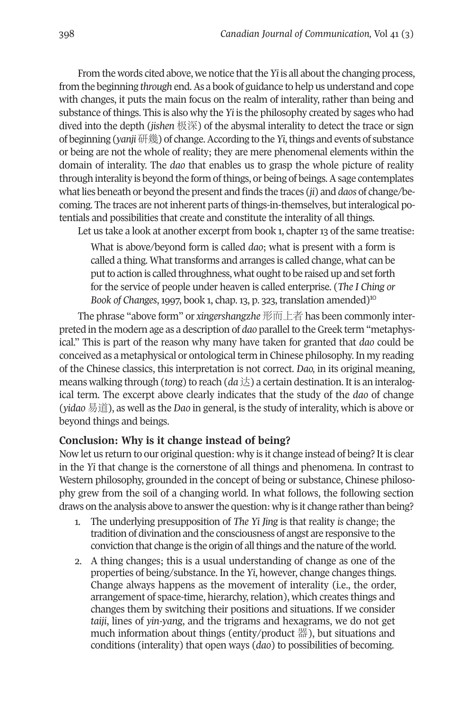From the words cited above, we notice that the *Yi* is all about the changing process, from the beginning *through* end.As a book of guidance to help us understand and cope with changes, it puts the main focus on the realm of interality, rather than being and substance of things. This is also why the *Yi* is the philosophy created by sages who had dived into the depth (*jishen* 极深) of the abysmal interality to detect the trace or sign of beginning (*yanji*研幾) of change.According to the*Yi*,things and events of substance or being are not the whole of reality; they are mere phenomenal elements within the domain of interality. The *dao* that enables us to grasp the whole picture of reality through interality is beyond the form ofthings, or being of beings.Asage contemplates whatlies beneath or beyond the present and finds the traces (*ji*) and *daos* of change/becoming. The traces are not inherent parts of things-in-themselves, but interalogical potentials and possibilities that create and constitute the interality of all things.

Let us take a look at another excerpt from book 1, chapter 13 of the same treatise:

What is above/beyond form is called *dao*; what is present with a form is called a thing. What transforms and arranges is called change, what can be put to action is called throughness, what ought to be raised up and set forth for the service of people under heaven is called enterprise. (*The I C[hin](#page-19-4)g or Book of Changes*, 1997, book 1, chap. 13, p. 323, translation amended)10

The phrase "above form" or *xingershangzhe* 形而上者 has been commonly interpreted in the modern age as a description of *dao* parallel to the Greek term "metaphysical." This is part of the reason why many have taken for granted that *dao* could be conceived as a metaphysical or ontologicalterm in Chinese philosophy.In my reading of the Chinese classics, this interpretation is not correct. *Dao,* in its original meaning, means walking through (*tong*) to reach ( $da \not\preceq$ ) a certain destination. It is an interalogical term. The excerpt above clearly indicates that the study of the *dao* of change (*yidao* 易道), as well as the *Dao* in general, is the study of interality, which is above or beyond things and beings.

#### **Conclusion: Why is it change instead of being?**

Now let us return to our original question: why is it change instead of being? Itis clear in the *Yi* that change is the cornerstone of all things and phenomena. In contrast to Western philosophy, grounded in the concept of being or substance, Chinese philosophy grew from the soil of a changing world. In what follows, the following section draws on the analysis above to answerthe question: why is it change ratherthan being?

- 1. The underlying presupposition of *The Yi Jing* is that reality *is* change; the tradition of divination and the consciousness of angst are responsive to the conviction that change is the origin of all things and the nature of the world.
- 2. A thing changes; this is a usual understanding of change as one of the properties of being/substance. In the *Yi*, however, change changes things. Change always happens as the movement of interality (i.e., the order, arrangement of space-time, hierarchy, relation), which creates things and changes them by switching their positions and situations. If we consider *taiji*, lines of *yin-yang*, and the trigrams and hexagrams, we do not get much information about things (entity/product 器), but situations and conditions (interality) that open ways (*dao*) to possibilities of becoming.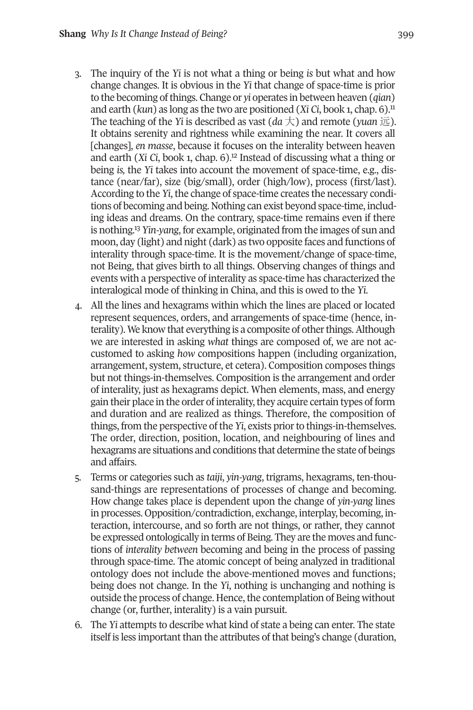- 3. The inquiry of the *Yi* is not what a thing or being *is* but what and how change changes. It is obvious in the *Yi* that change of space-time is prior to the becoming ofthings. Change or *yi* operates in between heaven (*qian*) and earth (*kun*) as long as the two are positioned (*Xi Ci*, book 1, chap. 6). [11](#page-19-7) The teaching of the *Yi* is described as vast  $(da \nightharpoondown)$  and remote (*yuan*  $\overline{\omega}$ ). It obtains serenity and rightness while examining the near. It covers all [changes], *en masse*, because it f[ocu](#page-19-6)ses on the interality between heaven and earth (*Xi Ci*, book 1, chap. 6). <sup>12</sup> Instead of discussing what a thing or being *is,* the *Yi* takes into account the movement of space-time, e.g., distance (near/far), size (big/small), order (high/low), process (first/last). According to the *Yi*, the change of space-time creates the necessary conditions of becoming and being. Nothing can exist beyond space-time, including ideas [an](#page-19-5)d dreams. On the contrary, space-time remains even if there is nothing. <sup>13</sup> *Yin-yang*, for example, originated from the images of sun and moon, day (light) and night (dark) as two opposite faces and functions of interality through space-time. It is the movement/change of space-time, not Being, that gives birth to all things. Observing changes of things and events with a perspective of interality as space-time has characterized the interalogical mode of thinking in China, and this is owed to the *Yi*.
- 4. All the lines and hexagrams within which the lines are placed or located represent sequences, orders, and arrangements of space-time (hence, interality). We know that everything is a composite of other things. Although we are interested in asking *what* things are composed of, we are not accustomed to asking *how* compositions happen (including organization, arrangement, system, structure, et cetera). Composition composes things but not things-in-themselves. Composition is the arrangement and order of interality, just as hexagrams depict. When elements, mass, and energy gain their place in the order of interality, they acquire certain types of form and duration and are realized as things. Therefore, the composition of things, from the perspective of the *Yi*, exists prior to things-in-themselves. The order, direction, position, location, and neighbouring of lines and hexagrams are situations and conditions that determine the state of beings and affairs.
- 5. Terms or categories such as *taiji*, *yin-yang*, trigrams, hexagrams, ten-thousand-things are representations of processes of change and becoming. How change takes place is dependent upon the change of *yin-yang* lines in processes. Opposition/contradiction, exchange, interplay, becoming, interaction, intercourse, and so forth are not things, or rather, they cannot be expressed ontologically in terms of Being. They are the moves and functions of *interality between* becoming and being in the process of passing through space-time. The atomic concept of being analyzed in traditional ontology does not include the above-mentioned moves and functions; being does not change. In the *Yi*, nothing is unchanging and nothing is outside the process of change. Hence, the contemplation of Being without change (or, further, interality) is a vain pursuit.
- 6. The *Yi* attempts to describe what kind of state a being can enter. The state itself is less important than the attributes of that being's change (duration,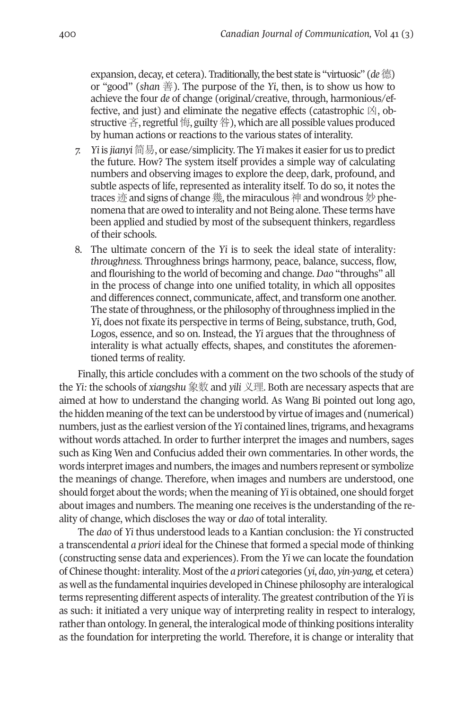expansion, decay, et cetera). Traditionally,thebest state is "virtuosic" (*de*德) or "good" (*shan* 善). The purpose of the *Yi*, then, is to show us how to achieve the four *de* of change (original/creative, through, harmonious/effective, and just) and eliminate the negative effects (catastrophic  $\mathbb{X}$ , obstructive 吝, regretful 悔, guilty 咎), which are all possible values produced by human actions or reactions to the various states of interality.

- *7. Yi* is *jianyi* 简易, or ease/simplicity. The *Yi* makes it easierfor us to predict the future. How? The system itself provides a simple way of calculating numbers and observing images to explore the deep, dark, profound, and subtle aspects of life, represented as interality itself. To do so, it notes the traces 迹 and signs of change 幾, the miraculous 神 and wondrous 妙 phenomena that are owed to interality and not Being alone. These terms have been applied and studied by most of the subsequent thinkers, regardless of their schools.
- 8. The ultimate concern of the *Yi* is to seek the ideal state of interality: *throughness*. Throughness brings harmony, peace, balance, success, flow, and flourishing to the world of becoming and change. *Dao* "throughs" all in the process of change into one unified totality, in which all opposites and differences connect, communicate, affect, and transform one another. The state of throughness, or the philosophy of throughness implied in the *Yi*, does not fixate its perspective in terms of Being, substance, truth, God, Logos, essence, and so on. Instead, the *Yi* argues that the throughness of interality is what actually effects, shapes, and constitutes the aforementioned terms of reality.

Finally, this article concludes with a comment on the two schools of the study of the *Yi:* the schools of *xiangshu* 象数 and *yili* 义理. Both are necessary aspects that are aimed at how to understand the changing world. As Wang Bi pointed out long ago, the hidden meaning of the text can be understood by virtue of images and (numerical) numbers, just as the earliest version of the *Yi* contained lines, trigrams, and hexagrams without words attached. In order to further interpret the images and numbers, sages such as King Wen and Confucius added their own commentaries. In other words, the words interpret images and numbers, the images and numbers represent or symbolize the meanings of change. Therefore, when images and numbers are understood, one should forget about the words; when the meaning of *Yi* is obtained, one should forget about images and numbers. The meaning one receives is the understanding of the reality of change, which discloses the way or *dao* of total interality.

The *dao* of *Yi* thus understood leads to a Kantian conclusion: the *Yi* constructed a transcendental *a priori* ideal for the Chinese that formed a special mode of thinking (constructing sense data and experiences). From the *Yi* we can locate the foundation of Chinese thought:interality. most ofthe *a priori* categories (*yi*, *dao*, *yin-yang,* et cetera) as well as the fundamental inquiries developed in Chinese philosophy are interalogical terms representing different aspects of interality. The greatest contribution of the *Yi* is as such: it initiated a very unique way of interpreting reality in respect to interalogy, rather than ontology. In general, the interalogical mode of thinking positions interality as the foundation for interpreting the world. Therefore, it is change or interality that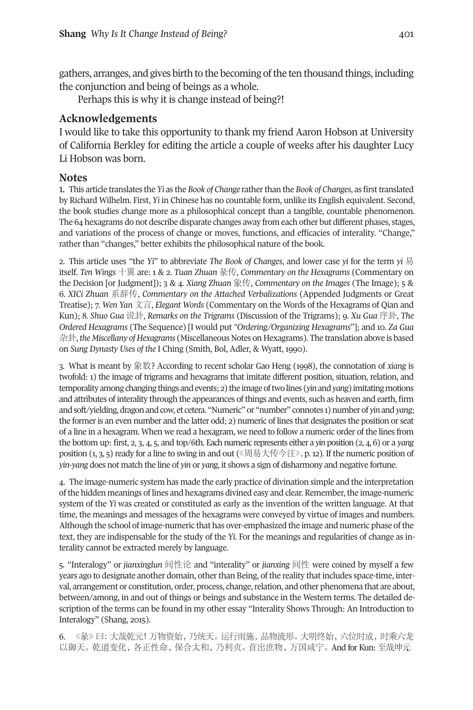gathers, arranges, and gives birth to the becoming of the ten thousand things, including the conjunction and being of beings as a whole.

<span id="page-18-3"></span><span id="page-18-0"></span>Perhaps this is why it is change instead of being?!

### **Acknowledgements**

I would like to take this opportunity to thank my friend Aaron Hobson at university of California Berkley for editing the article a couple of weeks after his daughter Lucy Li Hobson was born.

### **Notes**

1. This article translates the *Yi* as the *Book of Change* ratherthan the *Book of Changes*, as firsttranslated by Richard Wilhelm. First, *Yi* in Chinese has no countable form, unlike its English equivalent. Second, the book studies change more as a philosophical concept than a tangible, countable phenomenon. The 64 hexagrams do not describe disparate changes away from each other but different phases, stages, and variations of the process of change or moves, functions, and efficacies of interality. "Change," rather than "changes," better exhibits the philosophical nature of the book.

2. This article uses "the *Yi*" to abbreviate *The Book of Changes*, and lower case *yi* for the term *yi* 易 itself. *Ten Wings* 十翼 are: 1 & 2. *Tuan Zhuan* 彖传, *Commentary on the Hexagrams* (Commentary on the Decision [or Judgment]); 3 & 4. *Xiang Zhuan* 象传, *Commentary on the Images* (The Image); 5 & 6. *XICi Zhuan* 系辞传, *Commentary on the Attached Verbalizations* (Appended Judgments or Great Treatise); 7. *Wen Yan* 文言, *Elegant Words* (Commentary on the Words of the Hexagrams of Qian and Kun); 8. *Shuo Gua* 说卦, *Remarks on the Trigrams* (Discussion of the Trigrams); 9. *Xu Gua* 序卦, *The Ordered Hexagrams* (The Sequence) [I would put *"Ordering/Organizing Hexagrams*"]; and 10. *Za Gua* 杂卦,*the Miscellany of Hexagrams* (miscellaneous Notes on Hexagrams). The translation above is based on *Sung Dynasty Uses of the* I Ching (Smith, Bol, Adler, & Wyatt, 1990).

<span id="page-18-2"></span>3. What is meant by 象数? According to recent scholar Gao Heng (1998), the connotation of *xiang* is twofold: 1) the image of trigrams and hexagrams that imitate different position, situation, relation, and temporality among changing things and events; 2) the image of two lines (*yin* and *yang*) imitating motions and attributes of interality through the appearances ofthings and events, such as heaven and earth, firm and soft/yielding, dragon and cow, et cetera. "Numeric" or "number" connotes 1) number of *yin* and *yang*; the formeris an even number and the latter odd; 2) numeric of lines that designates the position or seat of a line in a hexagram. When we read a hexagram, we need to follow a numeric order of the lines from the bottom up: first, 2, 3, 4, 5, and top/6th. Each numeric represents either a *yin* position (2, 4, 6) or a *yang* position (1, 3, 5) ready for a line to swing in and out ( $\langle \mathbb{H} \xi | \xi \rangle$   $\langle \xi | \xi | \xi \rangle$ , p. 12). If the numeric position of *yin*-*yang* does not match the line of *yin* or *yang*, it shows a sign of disharmony and negative fortune.

<span id="page-18-1"></span>4. The image-numeric system has made the early practice of divination simple and the interpretation of the hidden meanings of lines and hexagrams divined easy and clear. Remember, the image-numeric system of the *Yi* was created or constituted as early as the invention of the written language. At that time, the meanings and messages of the hexagrams were conveyed by virtue of images and numbers. Although the school of image-numeric that has over-emphasized the image and numeric phase ofthe text, they are indispensable for the study of the *Yi*. For the meanings and regularities of change as interality cannot be extracted merely by language.

<span id="page-18-4"></span>5. "Interalogy" or *jianxinglun* 间性论 and "interality" or *jianxing* 间性 were coined by myself a few years ago to designate another domain, other than Being, of the reality that includes space-time, interval, arrangement or constitution, order, process, change, relation, and other phenomena that are about, between/among, in and out of things or beings and substance in the Western terms. The detailed description of the terms can be found in my other essay "Interality Shows Through: An Introduction to Interalogy" (Shang, 2015).

6. 《彖》曰:大哉乾元!万物资始,乃统天。运行雨施,品物流形。大明终始,六位时成,时乘六龙 以御天。乾道变化,各正性命,保合太和,乃利贞。首出庶物,万国咸宁。And for Kun: 至哉坤元